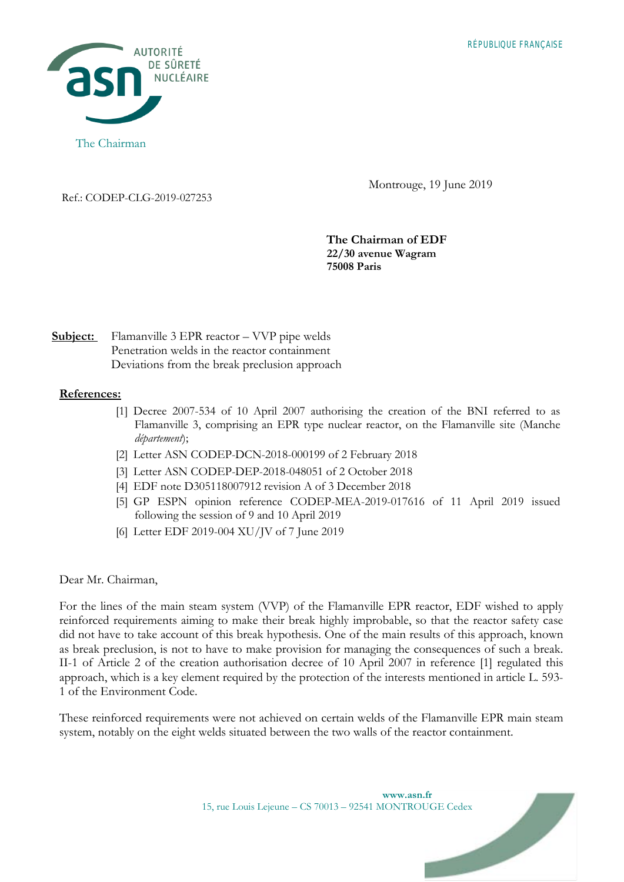

Montrouge, 19 June 2019

Ref.: CODEP-CLG-2019-027253

**The Chairman of EDF 22/30 avenue Wagram 75008 Paris** 

## **Subject:** Flamanville 3 EPR reactor – VVP pipe welds Penetration welds in the reactor containment Deviations from the break preclusion approach

## **References:**

- [1] Decree 2007-534 of 10 April 2007 authorising the creation of the BNI referred to as Flamanville 3, comprising an EPR type nuclear reactor, on the Flamanville site (Manche *département*);
- [2] Letter ASN CODEP-DCN-2018-000199 of 2 February 2018
- [3] Letter ASN CODEP-DEP-2018-048051 of 2 October 2018
- [4] EDF note D305118007912 revision A of 3 December 2018
- [5] GP ESPN opinion reference CODEP-MEA-2019-017616 of 11 April 2019 issued following the session of 9 and 10 April 2019
- [6] Letter EDF 2019-004 XU/JV of 7 June 2019

## Dear Mr. Chairman,

For the lines of the main steam system (VVP) of the Flamanville EPR reactor, EDF wished to apply reinforced requirements aiming to make their break highly improbable, so that the reactor safety case did not have to take account of this break hypothesis. One of the main results of this approach, known as break preclusion, is not to have to make provision for managing the consequences of such a break. II-1 of Article 2 of the creation authorisation decree of 10 April 2007 in reference [1] regulated this approach, which is a key element required by the protection of the interests mentioned in article L. 593- 1 of the Environment Code.

These reinforced requirements were not achieved on certain welds of the Flamanville EPR main steam system, notably on the eight welds situated between the two walls of the reactor containment.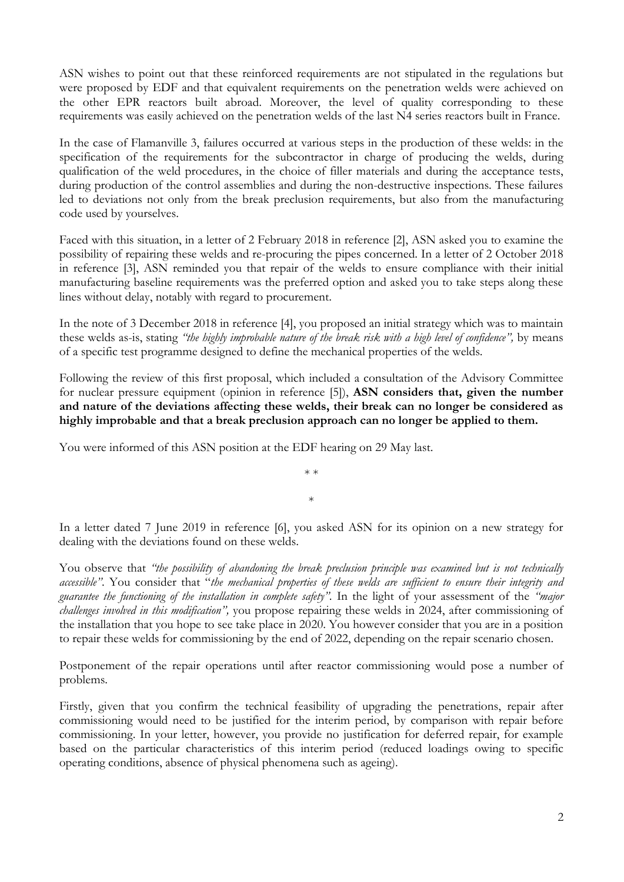ASN wishes to point out that these reinforced requirements are not stipulated in the regulations but were proposed by EDF and that equivalent requirements on the penetration welds were achieved on the other EPR reactors built abroad. Moreover, the level of quality corresponding to these requirements was easily achieved on the penetration welds of the last N4 series reactors built in France.

In the case of Flamanville 3, failures occurred at various steps in the production of these welds: in the specification of the requirements for the subcontractor in charge of producing the welds, during qualification of the weld procedures, in the choice of filler materials and during the acceptance tests, during production of the control assemblies and during the non-destructive inspections. These failures led to deviations not only from the break preclusion requirements, but also from the manufacturing code used by yourselves.

Faced with this situation, in a letter of 2 February 2018 in reference [2], ASN asked you to examine the possibility of repairing these welds and re-procuring the pipes concerned. In a letter of 2 October 2018 in reference [3], ASN reminded you that repair of the welds to ensure compliance with their initial manufacturing baseline requirements was the preferred option and asked you to take steps along these lines without delay, notably with regard to procurement.

In the note of 3 December 2018 in reference [4], you proposed an initial strategy which was to maintain these welds as-is, stating *"the highly improbable nature of the break risk with a high level of confidence",* by means of a specific test programme designed to define the mechanical properties of the welds.

Following the review of this first proposal, which included a consultation of the Advisory Committee for nuclear pressure equipment (opinion in reference [5]), **ASN considers that, given the number and nature of the deviations affecting these welds, their break can no longer be considered as highly improbable and that a break preclusion approach can no longer be applied to them.**

You were informed of this ASN position at the EDF hearing on 29 May last.

In a letter dated 7 June 2019 in reference [6], you asked ASN for its opinion on a new strategy for dealing with the deviations found on these welds.

\* \*

\*

You observe that *"the possibility of abandoning the break preclusion principle was examined but is not technically accessible"*. You consider that "*the mechanical properties of these welds are sufficient to ensure their integrity and guarantee the functioning of the installation in complete safety"*. In the light of your assessment of the *"major challenges involved in this modification",* you propose repairing these welds in 2024, after commissioning of the installation that you hope to see take place in 2020. You however consider that you are in a position to repair these welds for commissioning by the end of 2022, depending on the repair scenario chosen.

Postponement of the repair operations until after reactor commissioning would pose a number of problems.

Firstly, given that you confirm the technical feasibility of upgrading the penetrations, repair after commissioning would need to be justified for the interim period, by comparison with repair before commissioning. In your letter, however, you provide no justification for deferred repair, for example based on the particular characteristics of this interim period (reduced loadings owing to specific operating conditions, absence of physical phenomena such as ageing).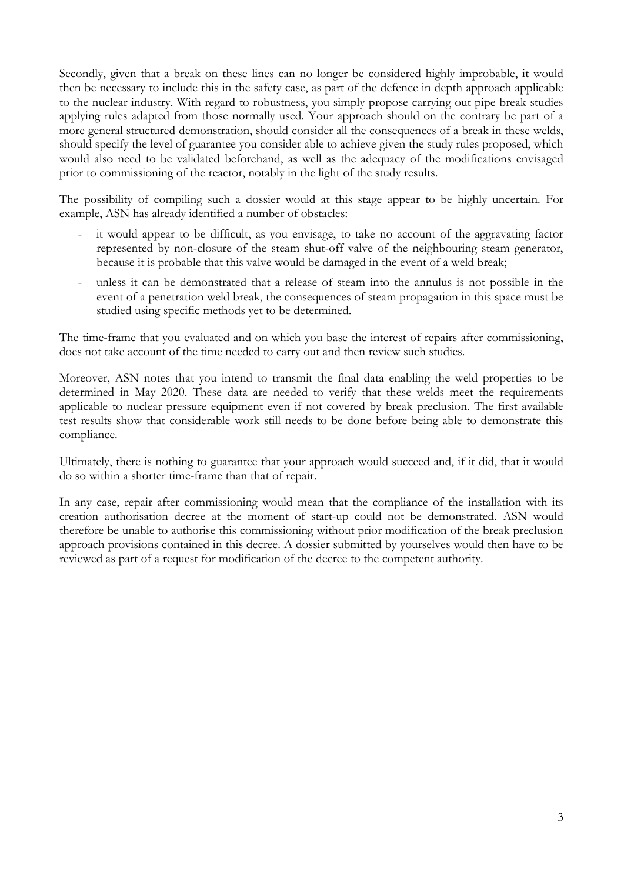Secondly, given that a break on these lines can no longer be considered highly improbable, it would then be necessary to include this in the safety case, as part of the defence in depth approach applicable to the nuclear industry. With regard to robustness, you simply propose carrying out pipe break studies applying rules adapted from those normally used. Your approach should on the contrary be part of a more general structured demonstration, should consider all the consequences of a break in these welds, should specify the level of guarantee you consider able to achieve given the study rules proposed, which would also need to be validated beforehand, as well as the adequacy of the modifications envisaged prior to commissioning of the reactor, notably in the light of the study results.

The possibility of compiling such a dossier would at this stage appear to be highly uncertain. For example, ASN has already identified a number of obstacles:

- it would appear to be difficult, as you envisage, to take no account of the aggravating factor represented by non-closure of the steam shut-off valve of the neighbouring steam generator, because it is probable that this valve would be damaged in the event of a weld break;
- unless it can be demonstrated that a release of steam into the annulus is not possible in the event of a penetration weld break, the consequences of steam propagation in this space must be studied using specific methods yet to be determined.

The time-frame that you evaluated and on which you base the interest of repairs after commissioning, does not take account of the time needed to carry out and then review such studies.

Moreover, ASN notes that you intend to transmit the final data enabling the weld properties to be determined in May 2020. These data are needed to verify that these welds meet the requirements applicable to nuclear pressure equipment even if not covered by break preclusion. The first available test results show that considerable work still needs to be done before being able to demonstrate this compliance.

Ultimately, there is nothing to guarantee that your approach would succeed and, if it did, that it would do so within a shorter time-frame than that of repair.

In any case, repair after commissioning would mean that the compliance of the installation with its creation authorisation decree at the moment of start-up could not be demonstrated. ASN would therefore be unable to authorise this commissioning without prior modification of the break preclusion approach provisions contained in this decree. A dossier submitted by yourselves would then have to be reviewed as part of a request for modification of the decree to the competent authority.